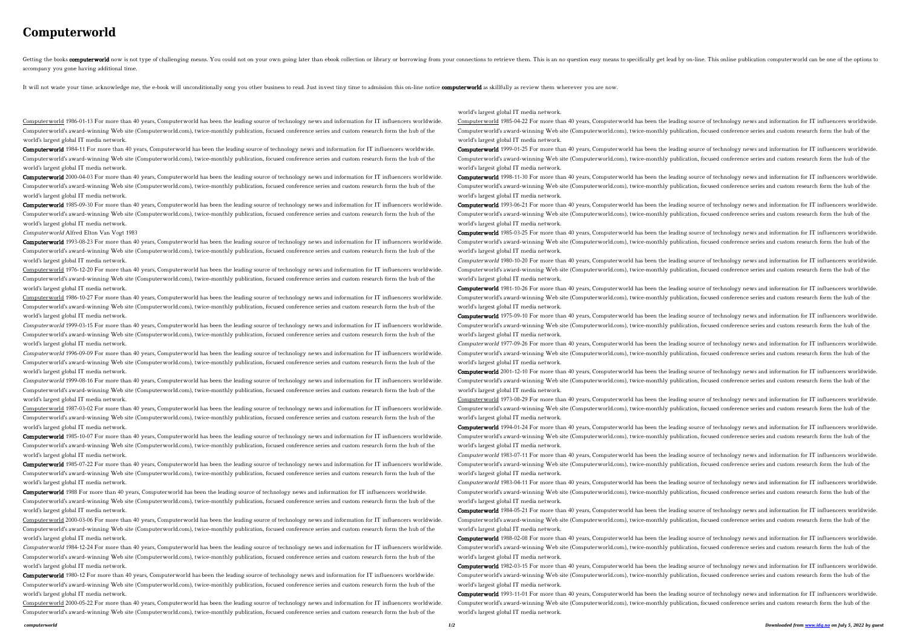## **Computerworld**

Getting the books computerworld now is not type of challenging means. You could not on your own going later than ebook collection or library or borrowing from your connections to retrieve them. This is an no question easy accompany you gone having additional time.

It will not waste your time. acknowledge me, the e-book will unconditionally song you other business to read. Just invest tiny time to admission this on-line notice computer world as skillfully as review them wherever you

Computerworld 1986-01-13 For more than 40 years, Computerworld has been the leading source of technology news and information for IT influencers worldwide. Computerworld's award-winning Web site (Computerworld.com), twice-monthly publication, focused conference series and custom research form the hub of the world's largest global IT media network.

Computerworld 1985-09-30 For more than 40 years, Computerworld has been the leading source of technology news and information for IT influencers worldwide. Computerworld's award-winning Web site (Computerworld.com), twice-monthly publication, focused conference series and custom research form the hub of the world's largest global IT media network.

Computerworld 1984-11 For more than 40 years, Computerworld has been the leading source of technology news and information for IT influencers worldwide. Computerworld's award-winning Web site (Computerworld.com), twice-monthly publication, focused conference series and custom research form the hub of the world's largest global IT media network.

Computerworld 2000-04-03 For more than 40 years, Computerworld has been the leading source of technology news and information for IT influencers worldwide. Computerworld's award-winning Web site (Computerworld.com), twice-monthly publication, focused conference series and custom research form the hub of the world's largest global IT media network.

Computerworld 1996-09-09 For more than 40 years, Computerworld has been the leading source of technology news and information for IT influencers worldwide. Computerworld's award-winning Web site (Computerworld.com), twice-monthly publication, focused conference series and custom research form the hub of the world's largest global IT media network.

Computerworld Alfred Elton Van Vogt 1983

Computerworld 1993-08-23 For more than 40 years, Computerworld has been the leading source of technology news and information for IT influencers worldwide. Computerworld's award-winning Web site (Computerworld.com), twice-monthly publication, focused conference series and custom research form the hub of the world's largest global IT media network.

Computerworld 1985-10-07 For more than 40 years, Computerworld has been the leading source of technology news and information for IT influencers worldwide. Computerworld's award-winning Web site (Computerworld.com), twice-monthly publication, focused conference series and custom research form the hub of the world's largest global IT media network.

Computerworld 1985-07-22 For more than 40 years, Computerworld has been the leading source of technology news and information for IT influencers worldwide. Computerworld's award-winning Web site (Computerworld.com), twice-monthly publication, focused conference series and custom research form the hub of the world's largest global IT media network.

Computerworld 1976-12-20 For more than 40 years, Computerworld has been the leading source of technology news and information for IT influencers worldwide. Computerworld's award-winning Web site (Computerworld.com), twice-monthly publication, focused conference series and custom research form the hub of the world's largest global IT media network.

Computerworld 1986-10-27 For more than 40 years, Computerworld has been the leading source of technology news and information for IT influencers worldwide. Computerworld's award-winning Web site (Computerworld.com), twice-monthly publication, focused conference series and custom research form the hub of the world's largest global IT media network.

Computerworld 1984-12-24 For more than 40 years, Computerworld has been the leading source of technology news and information for IT influencers worldwide. Computerworld's award-winning Web site (Computerworld.com), twice-monthly publication, focused conference series and custom research form the hub of the world's largest global IT media network.

Computerworld 1980-12 For more than 40 years, Computerworld has been the leading source of technology news and information for IT influencers worldwide. Computerworld's award-winning Web site (Computerworld.com), twice-monthly publication, focused conference series and custom research form the hub of the world's largest global IT media network.

Computerworld 1999-03-15 For more than 40 years, Computerworld has been the leading source of technology news and information for IT influencers worldwide. Computerworld's award-winning Web site (Computerworld.com), twice-monthly publication, focused conference series and custom research form the hub of the world's largest global IT media network.

Computerworld 2000-05-22 For more than 40 years, Computerworld has been the leading source of technology news and information for IT influencers worldwide. Computerworld's award-winning Web site (Computerworld.com), twice-monthly publication, focused conference series and custom research form the hub of the

Computerworld 1999-08-16 For more than 40 years, Computerworld has been the leading source of technology news and information for IT influencers worldwide. Computerworld's award-winning Web site (Computerworld.com), twice-monthly publication, focused conference series and custom research form the hub of the world's largest global IT media network.

Computerworld 1987-03-02 For more than 40 years, Computerworld has been the leading source of technology news and information for IT influencers worldwide. Computerworld's award-winning Web site (Computerworld.com), twice-monthly publication, focused conference series and custom research form the hub of the world's largest global IT media network.

Computerworld 1980-10-20 For more than 40 years, Computerworld has been the leading source of technology news and information for IT influencers worldwide. Computerworld's award-winning Web site (Computerworld.com), twice-monthly publication, focused conference series and custom research form the hub of the world's largest global IT media network.

Computerworld 1981-10-26 For more than 40 years, Computerworld has been the leading source of technology news and information for IT influencers worldwide. Computerworld's award-winning Web site (Computerworld.com), twice-monthly publication, focused conference series and custom research form the hub of the world's largest global IT media network.

Computerworld 1988 For more than 40 years, Computerworld has been the leading source of technology news and information for IT influencers worldwide. Computerworld's award-winning Web site (Computerworld.com), twice-monthly publication, focused conference series and custom research form the hub of the world's largest global IT media network.

Computerworld 2000-03-06 For more than 40 years, Computerworld has been the leading source of technology news and information for IT influencers worldwide. Computerworld's award-winning Web site (Computerworld.com), twice-monthly publication, focused conference series and custom research form the hub of the world's largest global IT media network.

Computerworld 1984-05-21 For more than 40 years, Computerworld has been the leading source of technology news and information for IT influencers worldwide. Computerworld's award-winning Web site (Computerworld.com), twice-monthly publication, focused conference series and custom research form the hub of the world's largest global IT media network.

world's largest global IT media network.

Computerworld 1985-04-22 For more than 40 years, Computerworld has been the leading source of technology news and information for IT influencers worldwide. Computerworld's award-winning Web site (Computerworld.com), twice-monthly publication, focused conference series and custom research form the hub of the world's largest global IT media network.

Computerworld 1999-01-25 For more than 40 years, Computerworld has been the leading source of technology news and information for IT influencers worldwide. Computerworld's award-winning Web site (Computerworld.com), twice-monthly publication, focused conference series and custom research form the hub of the world's largest global IT media network.

Computerworld 1998-11-30 For more than 40 years, Computerworld has been the leading source of technology news and information for IT influencers worldwide. Computerworld's award-winning Web site (Computerworld.com), twice-monthly publication, focused conference series and custom research form the hub of the world's largest global IT media network.

Computerworld 1993-06-21 For more than 40 years, Computerworld has been the leading source of technology news and information for IT influencers worldwide. Computerworld's award-winning Web site (Computerworld.com), twice-monthly publication, focused conference series and custom research form the hub of the world's largest global IT media network.

Computerworld 1985-03-25 For more than 40 years, Computerworld has been the leading source of technology news and information for IT influencers worldwide. Computerworld's award-winning Web site (Computerworld.com), twice-monthly publication, focused conference series and custom research form the hub of the world's largest global IT media network.

Computerworld 1975-09-10 For more than 40 years, Computerworld has been the leading source of technology news and information for IT influencers worldwide.

Computerworld's award-winning Web site (Computerworld.com), twice-monthly publication, focused conference series and custom research form the hub of the world's largest global IT media network. Computerworld 1977-09-26 For more than 40 years, Computerworld has been the leading source of technology news and information for IT influencers worldwide. Computerworld's award-winning Web site (Computerworld.com), twice-monthly publication, focused conference series and custom research form the hub of the world's largest global IT media network.

Computerworld 2001-12-10 For more than 40 years, Computerworld has been the leading source of technology news and information for IT influencers worldwide. Computerworld's award-winning Web site (Computerworld.com), twice-monthly publication, focused conference series and custom research form the hub of the world's largest global IT media network.

Computerworld 1973-08-29 For more than 40 years, Computerworld has been the leading source of technology news and information for IT influencers worldwide. Computerworld's award-winning Web site (Computerworld.com), twice-monthly publication, focused conference series and custom research form the hub of the world's largest global IT media network.

Computerworld 1994-01-24 For more than 40 years, Computerworld has been the leading source of technology news and information for IT influencers worldwide. Computerworld's award-winning Web site (Computerworld.com), twice-monthly publication, focused conference series and custom research form the hub of the world's largest global IT media network.

Computerworld 1983-07-11 For more than 40 years, Computerworld has been the leading source of technology news and information for IT influencers worldwide. Computerworld's award-winning Web site (Computerworld.com), twice-monthly publication, focused conference series and custom research form the hub of the world's largest global IT media network.

Computerworld 1983-04-11 For more than 40 years, Computerworld has been the leading source of technology news and information for IT influencers worldwide. Computerworld's award-winning Web site (Computerworld.com), twice-monthly publication, focused conference series and custom research form the hub of the world's largest global IT media network.

Computerworld 1988-02-08 For more than 40 years, Computerworld has been the leading source of technology news and information for IT influencers worldwide. Computerworld's award-winning Web site (Computerworld.com), twice-monthly publication, focused conference series and custom research form the hub of the world's largest global IT media network.

Computerworld 1982-03-15 For more than 40 years, Computerworld has been the leading source of technology news and information for IT influencers worldwide. Computerworld's award-winning Web site (Computerworld.com), twice-monthly publication, focused conference series and custom research form the hub of the world's largest global IT media network.

Computerworld 1993-11-01 For more than 40 years, Computerworld has been the leading source of technology news and information for IT influencers worldwide. Computerworld's award-winning Web site (Computerworld.com), twice-monthly publication, focused conference series and custom research form the hub of the world's largest global IT media network.